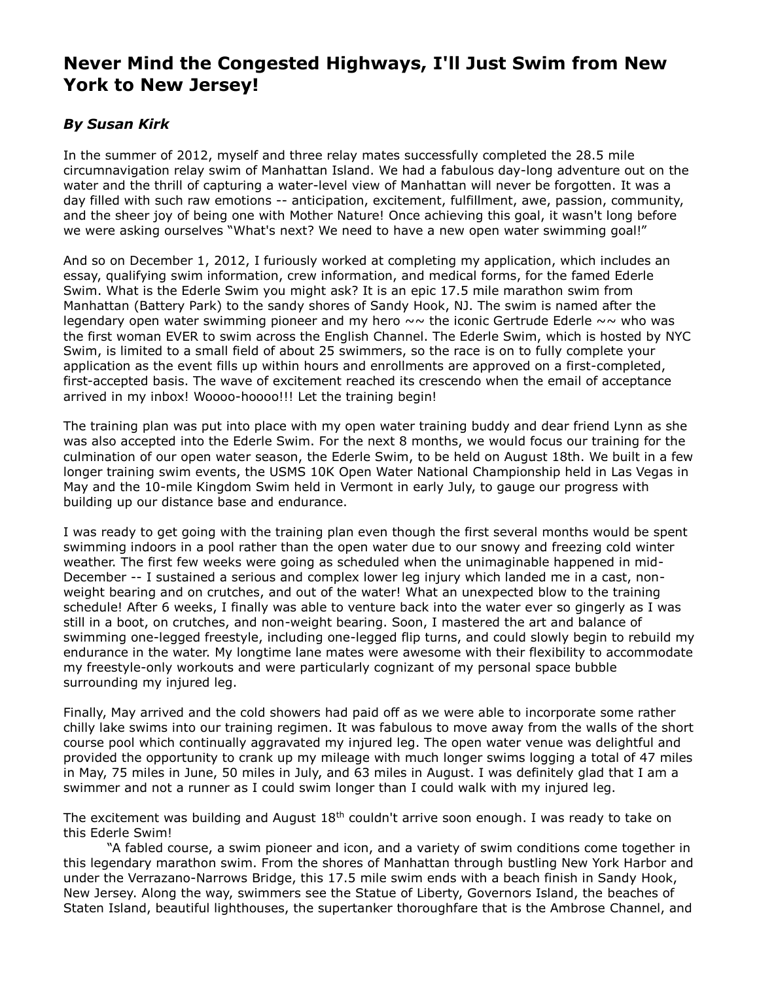## **Never Mind the Congested Highways, I'll Just Swim from New York to New Jersey!**

## *By Susan Kirk*

In the summer of 2012, myself and three relay mates successfully completed the 28.5 mile circumnavigation relay swim of Manhattan Island. We had a fabulous day-long adventure out on the water and the thrill of capturing a water-level view of Manhattan will never be forgotten. It was a day filled with such raw emotions -- anticipation, excitement, fulfillment, awe, passion, community, and the sheer joy of being one with Mother Nature! Once achieving this goal, it wasn't long before we were asking ourselves "What's next? We need to have a new open water swimming goal!"

And so on December 1, 2012, I furiously worked at completing my application, which includes an essay, qualifying swim information, crew information, and medical forms, for the famed Ederle Swim. What is the Ederle Swim you might ask? It is an epic 17.5 mile marathon swim from Manhattan (Battery Park) to the sandy shores of Sandy Hook, NJ. The swim is named after the legendary open water swimming pioneer and my hero  $\sim \sim$  the iconic Gertrude Ederle  $\sim \sim$  who was the first woman EVER to swim across the English Channel. The Ederle Swim, which is hosted by NYC Swim, is limited to a small field of about 25 swimmers, so the race is on to fully complete your application as the event fills up within hours and enrollments are approved on a first-completed, first-accepted basis. The wave of excitement reached its crescendo when the email of acceptance arrived in my inbox! Woooo-hoooo!!! Let the training begin!

The training plan was put into place with my open water training buddy and dear friend Lynn as she was also accepted into the Ederle Swim. For the next 8 months, we would focus our training for the culmination of our open water season, the Ederle Swim, to be held on August 18th. We built in a few longer training swim events, the USMS 10K Open Water National Championship held in Las Vegas in May and the 10-mile Kingdom Swim held in Vermont in early July, to gauge our progress with building up our distance base and endurance.

I was ready to get going with the training plan even though the first several months would be spent swimming indoors in a pool rather than the open water due to our snowy and freezing cold winter weather. The first few weeks were going as scheduled when the unimaginable happened in mid-December -- I sustained a serious and complex lower leg injury which landed me in a cast, nonweight bearing and on crutches, and out of the water! What an unexpected blow to the training schedule! After 6 weeks, I finally was able to venture back into the water ever so gingerly as I was still in a boot, on crutches, and non-weight bearing. Soon, I mastered the art and balance of swimming one-legged freestyle, including one-legged flip turns, and could slowly begin to rebuild my endurance in the water. My longtime lane mates were awesome with their flexibility to accommodate my freestyle-only workouts and were particularly cognizant of my personal space bubble surrounding my injured leg.

Finally, May arrived and the cold showers had paid off as we were able to incorporate some rather chilly lake swims into our training regimen. It was fabulous to move away from the walls of the short course pool which continually aggravated my injured leg. The open water venue was delightful and provided the opportunity to crank up my mileage with much longer swims logging a total of 47 miles in May, 75 miles in June, 50 miles in July, and 63 miles in August. I was definitely glad that I am a swimmer and not a runner as I could swim longer than I could walk with my injured leg.

The excitement was building and August 18<sup>th</sup> couldn't arrive soon enough. I was ready to take on this Ederle Swim!

 "A fabled course, a swim pioneer and icon, and a variety of swim conditions come together in this legendary marathon swim. From the shores of Manhattan through bustling New York Harbor and under the Verrazano-Narrows Bridge, this 17.5 mile swim ends with a beach finish in Sandy Hook, New Jersey. Along the way, swimmers see the Statue of Liberty, Governors Island, the beaches of Staten Island, beautiful lighthouses, the supertanker thoroughfare that is the Ambrose Channel, and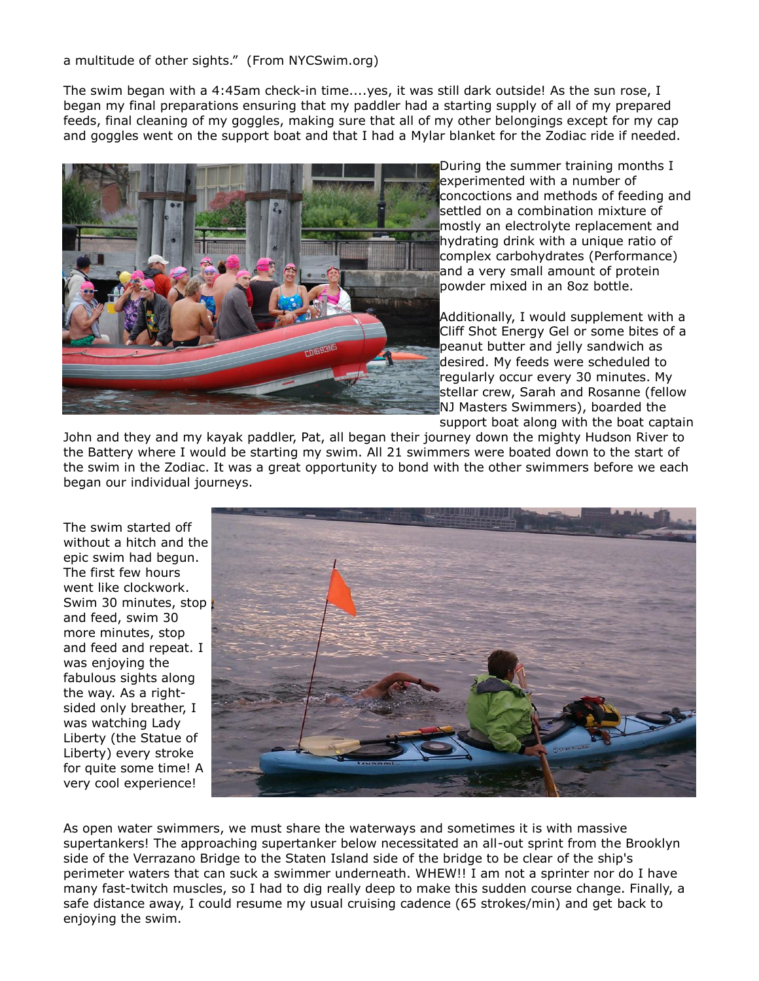a multitude of other sights." (From NYCSwim.org)

The swim began with a 4:45am check-in time....yes, it was still dark outside! As the sun rose, I began my final preparations ensuring that my paddler had a starting supply of all of my prepared feeds, final cleaning of my goggles, making sure that all of my other belongings except for my cap and goggles went on the support boat and that I had a Mylar blanket for the Zodiac ride if needed.



During the summer training months I experimented with a number of concoctions and methods of feeding and settled on a combination mixture of mostly an electrolyte replacement and hydrating drink with a unique ratio of complex carbohydrates (Performance) and a very small amount of protein powder mixed in an 8oz bottle.

Additionally, I would supplement with a Cliff Shot Energy Gel or some bites of a peanut butter and jelly sandwich as desired. My feeds were scheduled to regularly occur every 30 minutes. My stellar crew, Sarah and Rosanne (fellow NJ Masters Swimmers), boarded the support boat along with the boat captain

John and they and my kayak paddler, Pat, all began their journey down the mighty Hudson River to the Battery where I would be starting my swim. All 21 swimmers were boated down to the start of the swim in the Zodiac. It was a great opportunity to bond with the other swimmers before we each began our individual journeys.

The swim started off without a hitch and the epic swim had begun. The first few hours went like clockwork. Swim 30 minutes, stop and feed, swim 30 more minutes, stop and feed and repeat. I was enjoying the fabulous sights along the way. As a rightsided only breather, I was watching Lady Liberty (the Statue of Liberty) every stroke for quite some time! A very cool experience!



As open water swimmers, we must share the waterways and sometimes it is with massive supertankers! The approaching supertanker below necessitated an all-out sprint from the Brooklyn side of the Verrazano Bridge to the Staten Island side of the bridge to be clear of the ship's perimeter waters that can suck a swimmer underneath. WHEW!! I am not a sprinter nor do I have many fast-twitch muscles, so I had to dig really deep to make this sudden course change. Finally, a safe distance away, I could resume my usual cruising cadence (65 strokes/min) and get back to enjoying the swim.